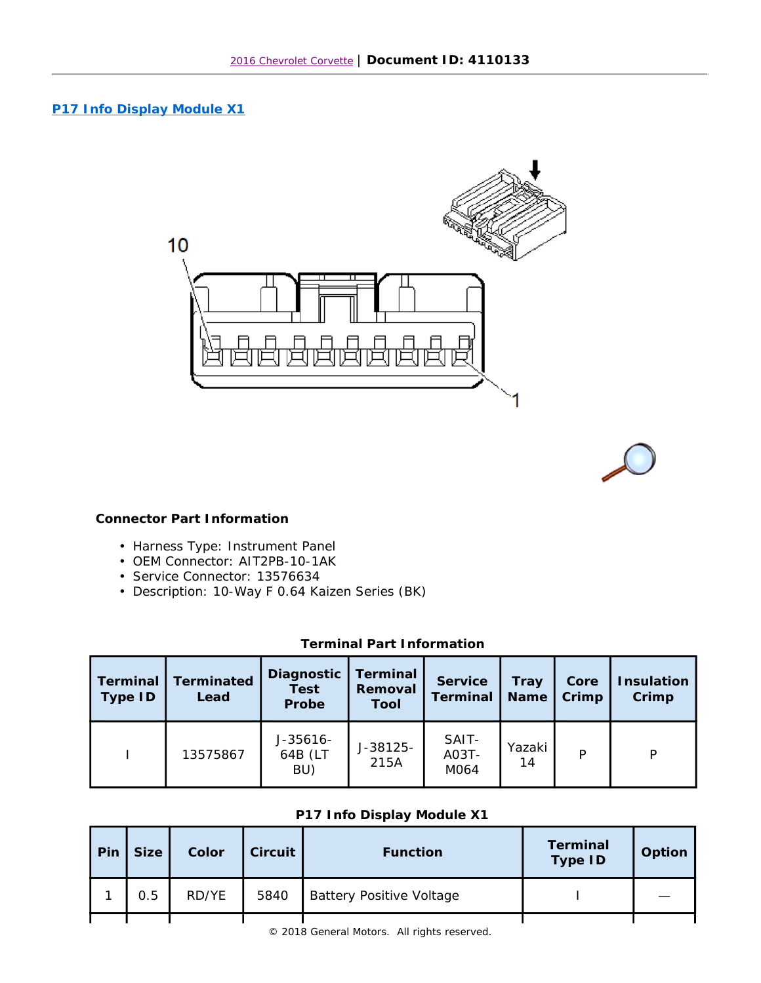## **P17 Info Display Module X1**



## **Connector Part Information**

- Harness Type: Instrument Panel
- OEM Connector: AIT2PB-10-1AK
- Service Connector: 13576634
- Description: 10-Way F 0.64 Kaizen Series (BK)

## **Terminal Part Information**

| Terminal<br>Type ID | <b>Terminated</b><br>Lead | Terminal<br>Diagnostic<br><b>Test</b><br>Removal<br>Probe<br>Tool |                  | Service<br>Terminal    | Tray<br><b>Name</b> | Core<br>Crimp | <b>Insulation</b><br>Crimp |
|---------------------|---------------------------|-------------------------------------------------------------------|------------------|------------------------|---------------------|---------------|----------------------------|
|                     | 13575867                  | $J-35616-$<br>64B (LT<br>BU)                                      | J-38125-<br>215A | SAIT-<br>A03T-<br>M064 | Yazaki<br>14        | Þ             | P                          |

## **P17 Info Display Module X1**

| Pin | Size ! | Color | Circuit | <b>Function</b>                 | Terminal<br>Type ID | Option |
|-----|--------|-------|---------|---------------------------------|---------------------|--------|
|     | 0.5    | RD/YE | 5840    | <b>Battery Positive Voltage</b> |                     |        |
|     |        |       |         |                                 |                     |        |

 $©$  2018 General Motors. All rights reserved.